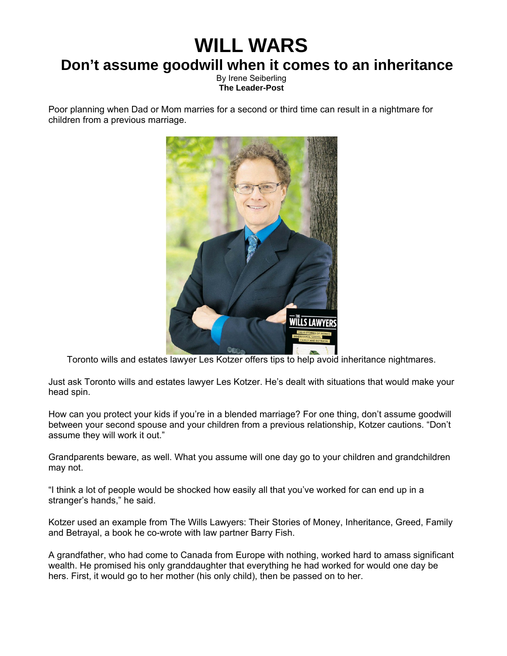## **WILL WARS**

## **Don't assume goodwill when it comes to an inheritance**

By Irene Seiberling **The Leader-Post** 

Poor planning when Dad or Mom marries for a second or third time can result in a nightmare for children from a previous marriage.



Toronto wills and estates lawyer Les Kotzer offers tips to help avoid inheritance nightmares.

Just ask Toronto wills and estates lawyer Les Kotzer. He's dealt with situations that would make your head spin.

How can you protect your kids if you're in a blended marriage? For one thing, don't assume goodwill between your second spouse and your children from a previous relationship, Kotzer cautions. "Don't assume they will work it out."

Grandparents beware, as well. What you assume will one day go to your children and grandchildren may not.

"I think a lot of people would be shocked how easily all that you've worked for can end up in a stranger's hands," he said.

Kotzer used an example from The Wills Lawyers: Their Stories of Money, Inheritance, Greed, Family and Betrayal, a book he co-wrote with law partner Barry Fish.

A grandfather, who had come to Canada from Europe with nothing, worked hard to amass significant wealth. He promised his only granddaughter that everything he had worked for would one day be hers. First, it would go to her mother (his only child), then be passed on to her.